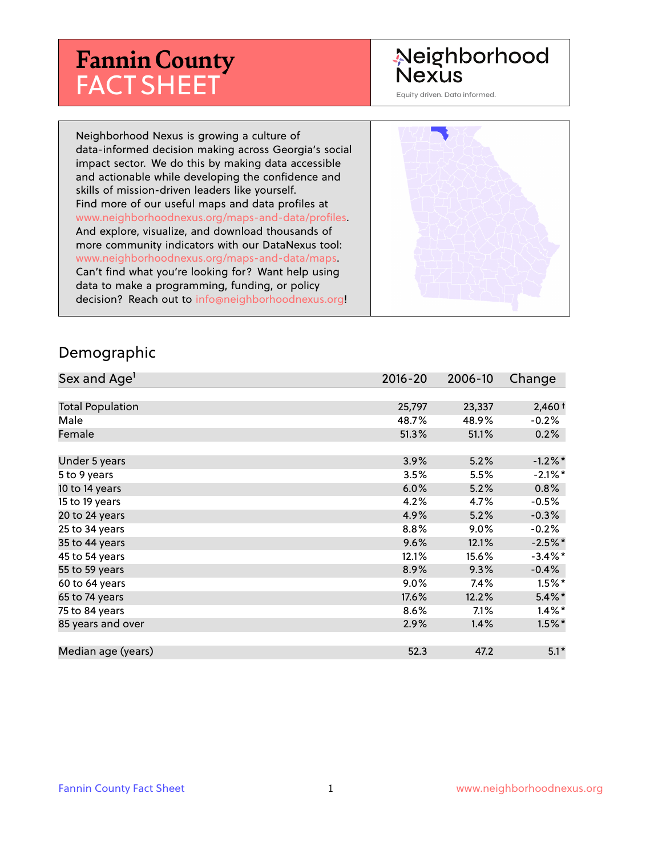# **Fannin County** FACT SHEET

## Neighborhood Nexus

Equity driven. Data informed.

Neighborhood Nexus is growing a culture of data-informed decision making across Georgia's social impact sector. We do this by making data accessible and actionable while developing the confidence and skills of mission-driven leaders like yourself. Find more of our useful maps and data profiles at www.neighborhoodnexus.org/maps-and-data/profiles. And explore, visualize, and download thousands of more community indicators with our DataNexus tool: www.neighborhoodnexus.org/maps-and-data/maps. Can't find what you're looking for? Want help using data to make a programming, funding, or policy decision? Reach out to [info@neighborhoodnexus.org!](mailto:info@neighborhoodnexus.org)



### Demographic

| Sex and Age <sup>1</sup> | $2016 - 20$ | 2006-10 | Change     |
|--------------------------|-------------|---------|------------|
|                          |             |         |            |
| <b>Total Population</b>  | 25,797      | 23,337  | $2,460+$   |
| Male                     | 48.7%       | 48.9%   | $-0.2%$    |
| Female                   | 51.3%       | 51.1%   | 0.2%       |
|                          |             |         |            |
| Under 5 years            | 3.9%        | 5.2%    | $-1.2\%$ * |
| 5 to 9 years             | 3.5%        | 5.5%    | $-2.1\%$ * |
| 10 to 14 years           | 6.0%        | 5.2%    | 0.8%       |
| 15 to 19 years           | 4.2%        | 4.7%    | $-0.5%$    |
| 20 to 24 years           | 4.9%        | 5.2%    | $-0.3%$    |
| 25 to 34 years           | 8.8%        | $9.0\%$ | $-0.2%$    |
| 35 to 44 years           | 9.6%        | 12.1%   | $-2.5\%$ * |
| 45 to 54 years           | 12.1%       | 15.6%   | $-3.4\%$ * |
| 55 to 59 years           | 8.9%        | 9.3%    | $-0.4%$    |
| 60 to 64 years           | 9.0%        | 7.4%    | $1.5\%$ *  |
| 65 to 74 years           | 17.6%       | 12.2%   | $5.4\%$ *  |
| 75 to 84 years           | 8.6%        | 7.1%    | $1.4\%$ *  |
| 85 years and over        | 2.9%        | 1.4%    | $1.5\%$ *  |
|                          |             |         |            |
| Median age (years)       | 52.3        | 47.2    | $5.1*$     |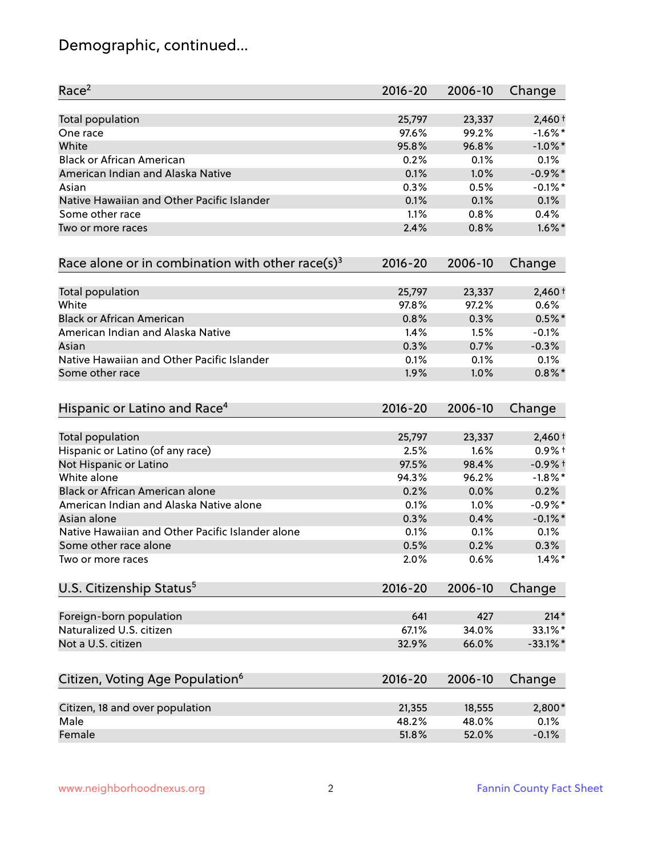## Demographic, continued...

| Race <sup>2</sup>                                            | $2016 - 20$ | 2006-10 | Change      |
|--------------------------------------------------------------|-------------|---------|-------------|
| <b>Total population</b>                                      | 25,797      | 23,337  | $2,460+$    |
| One race                                                     | 97.6%       | 99.2%   | $-1.6\%$ *  |
| White                                                        | 95.8%       | 96.8%   | $-1.0\%$ *  |
| <b>Black or African American</b>                             | 0.2%        | 0.1%    | 0.1%        |
| American Indian and Alaska Native                            | 0.1%        | 1.0%    | $-0.9\%$ *  |
| Asian                                                        | 0.3%        | 0.5%    | $-0.1\%$ *  |
| Native Hawaiian and Other Pacific Islander                   | 0.1%        | 0.1%    | 0.1%        |
| Some other race                                              | 1.1%        | 0.8%    | 0.4%        |
| Two or more races                                            | 2.4%        | 0.8%    | $1.6\%$ *   |
| Race alone or in combination with other race(s) <sup>3</sup> | $2016 - 20$ | 2006-10 | Change      |
| Total population                                             | 25,797      | 23,337  | $2,460+$    |
| White                                                        | 97.8%       | 97.2%   | 0.6%        |
| <b>Black or African American</b>                             | 0.8%        | 0.3%    | $0.5%$ *    |
| American Indian and Alaska Native                            | 1.4%        | 1.5%    | $-0.1%$     |
| Asian                                                        | 0.3%        | 0.7%    | $-0.3%$     |
| Native Hawaiian and Other Pacific Islander                   | 0.1%        | 0.1%    | 0.1%        |
| Some other race                                              | 1.9%        | 1.0%    | $0.8\%$ *   |
| Hispanic or Latino and Race <sup>4</sup>                     | $2016 - 20$ | 2006-10 | Change      |
| <b>Total population</b>                                      | 25,797      | 23,337  | $2,460+$    |
| Hispanic or Latino (of any race)                             | 2.5%        | 1.6%    | $0.9%$ +    |
| Not Hispanic or Latino                                       | 97.5%       | 98.4%   | $-0.9%$ +   |
| White alone                                                  | 94.3%       | 96.2%   | $-1.8\%$ *  |
| Black or African American alone                              | 0.2%        | 0.0%    | 0.2%        |
| American Indian and Alaska Native alone                      | 0.1%        | 1.0%    | $-0.9%$ *   |
| Asian alone                                                  | 0.3%        | 0.4%    | $-0.1\%$ *  |
| Native Hawaiian and Other Pacific Islander alone             | 0.1%        | 0.1%    | 0.1%        |
| Some other race alone                                        | 0.5%        | 0.2%    | 0.3%        |
| Two or more races                                            | 2.0%        | 0.6%    | $1.4\%$ *   |
| U.S. Citizenship Status <sup>5</sup>                         | $2016 - 20$ | 2006-10 | Change      |
| Foreign-born population                                      | 641         | 427     | $214*$      |
| Naturalized U.S. citizen                                     | 67.1%       | 34.0%   | 33.1%*      |
| Not a U.S. citizen                                           | 32.9%       | 66.0%   | $-33.1\%$ * |
|                                                              |             |         |             |
| Citizen, Voting Age Population <sup>6</sup>                  | $2016 - 20$ | 2006-10 | Change      |
| Citizen, 18 and over population                              | 21,355      | 18,555  | 2,800*      |
| Male                                                         | 48.2%       | 48.0%   | 0.1%        |
| Female                                                       | 51.8%       | 52.0%   | $-0.1%$     |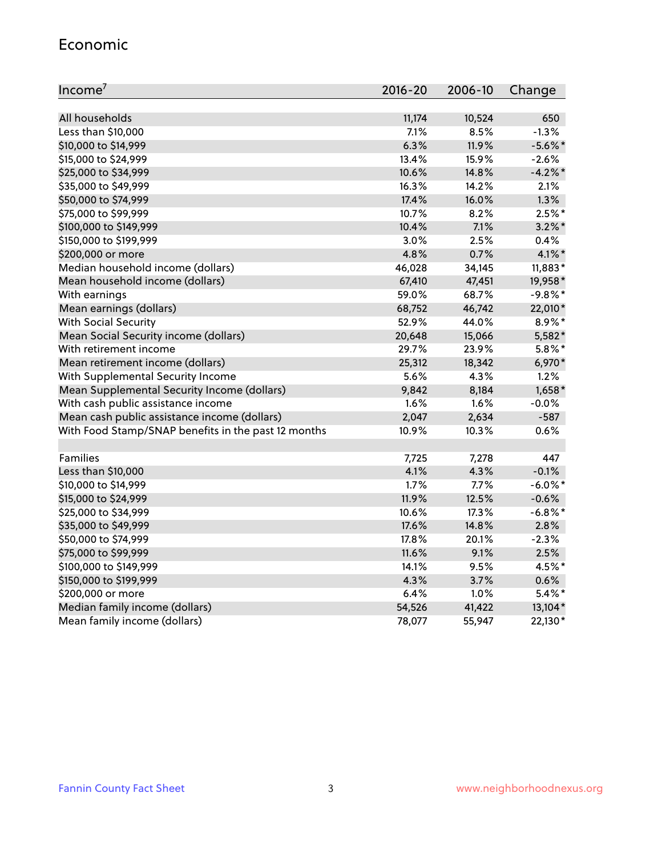### Economic

| Income <sup>7</sup>                                 | $2016 - 20$ | 2006-10 | Change     |
|-----------------------------------------------------|-------------|---------|------------|
|                                                     |             |         |            |
| All households                                      | 11,174      | 10,524  | 650        |
| Less than \$10,000                                  | 7.1%        | 8.5%    | $-1.3%$    |
| \$10,000 to \$14,999                                | 6.3%        | 11.9%   | $-5.6\%$ * |
| \$15,000 to \$24,999                                | 13.4%       | 15.9%   | $-2.6%$    |
| \$25,000 to \$34,999                                | 10.6%       | 14.8%   | $-4.2%$ *  |
| \$35,000 to \$49,999                                | 16.3%       | 14.2%   | 2.1%       |
| \$50,000 to \$74,999                                | 17.4%       | 16.0%   | 1.3%       |
| \$75,000 to \$99,999                                | 10.7%       | 8.2%    | $2.5%$ *   |
| \$100,000 to \$149,999                              | 10.4%       | 7.1%    | $3.2\%$ *  |
| \$150,000 to \$199,999                              | 3.0%        | 2.5%    | 0.4%       |
| \$200,000 or more                                   | 4.8%        | 0.7%    | $4.1\%$ *  |
| Median household income (dollars)                   | 46,028      | 34,145  | 11,883*    |
| Mean household income (dollars)                     | 67,410      | 47,451  | 19,958*    |
| With earnings                                       | 59.0%       | 68.7%   | $-9.8%$ *  |
| Mean earnings (dollars)                             | 68,752      | 46,742  | 22,010*    |
| <b>With Social Security</b>                         | 52.9%       | 44.0%   | 8.9%*      |
| Mean Social Security income (dollars)               | 20,648      | 15,066  | 5,582*     |
| With retirement income                              | 29.7%       | 23.9%   | $5.8\%$ *  |
| Mean retirement income (dollars)                    | 25,312      | 18,342  | 6,970*     |
| With Supplemental Security Income                   | 5.6%        | 4.3%    | 1.2%       |
| Mean Supplemental Security Income (dollars)         | 9,842       | 8,184   | $1,658*$   |
| With cash public assistance income                  | 1.6%        | 1.6%    | $-0.0%$    |
| Mean cash public assistance income (dollars)        | 2,047       | 2,634   | $-587$     |
| With Food Stamp/SNAP benefits in the past 12 months | 10.9%       | 10.3%   | 0.6%       |
|                                                     |             |         |            |
| Families                                            | 7,725       | 7,278   | 447        |
| Less than \$10,000                                  | 4.1%        | 4.3%    | $-0.1%$    |
| \$10,000 to \$14,999                                | 1.7%        | 7.7%    | $-6.0\%$ * |
| \$15,000 to \$24,999                                | 11.9%       | 12.5%   | $-0.6%$    |
| \$25,000 to \$34,999                                | 10.6%       | 17.3%   | $-6.8\%$ * |
| \$35,000 to \$49,999                                | 17.6%       | 14.8%   | 2.8%       |
| \$50,000 to \$74,999                                | 17.8%       | 20.1%   | $-2.3%$    |
| \$75,000 to \$99,999                                | 11.6%       | 9.1%    | 2.5%       |
| \$100,000 to \$149,999                              | 14.1%       | 9.5%    | 4.5%*      |
| \$150,000 to \$199,999                              | 4.3%        | 3.7%    | 0.6%       |
| \$200,000 or more                                   | 6.4%        | 1.0%    | $5.4\%$ *  |
| Median family income (dollars)                      | 54,526      | 41,422  | 13,104*    |
| Mean family income (dollars)                        | 78,077      | 55,947  | 22,130*    |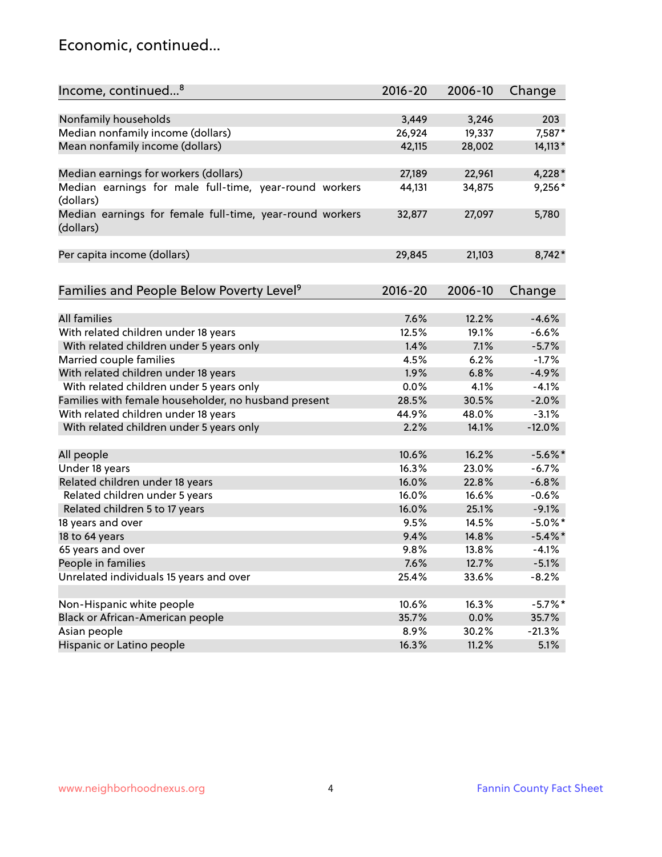## Economic, continued...

| Income, continued <sup>8</sup>                                        | $2016 - 20$ | 2006-10 | Change     |
|-----------------------------------------------------------------------|-------------|---------|------------|
|                                                                       |             |         |            |
| Nonfamily households                                                  | 3,449       | 3,246   | 203        |
| Median nonfamily income (dollars)                                     | 26,924      | 19,337  | 7,587*     |
| Mean nonfamily income (dollars)                                       | 42,115      | 28,002  | $14,113*$  |
| Median earnings for workers (dollars)                                 | 27,189      | 22,961  | 4,228 *    |
| Median earnings for male full-time, year-round workers<br>(dollars)   | 44,131      | 34,875  | $9,256*$   |
| Median earnings for female full-time, year-round workers<br>(dollars) | 32,877      | 27,097  | 5,780      |
| Per capita income (dollars)                                           | 29,845      | 21,103  | $8,742*$   |
|                                                                       |             |         |            |
| Families and People Below Poverty Level <sup>9</sup>                  | 2016-20     | 2006-10 | Change     |
| <b>All families</b>                                                   | 7.6%        | 12.2%   | $-4.6%$    |
| With related children under 18 years                                  | 12.5%       | 19.1%   | $-6.6%$    |
| With related children under 5 years only                              | 1.4%        | 7.1%    | $-5.7%$    |
| Married couple families                                               | 4.5%        | 6.2%    | $-1.7%$    |
| With related children under 18 years                                  | 1.9%        | 6.8%    | $-4.9%$    |
| With related children under 5 years only                              | 0.0%        | 4.1%    | $-4.1%$    |
| Families with female householder, no husband present                  | 28.5%       | 30.5%   | $-2.0%$    |
| With related children under 18 years                                  | 44.9%       | 48.0%   | $-3.1%$    |
| With related children under 5 years only                              | 2.2%        | 14.1%   | $-12.0%$   |
|                                                                       |             |         |            |
| All people                                                            | 10.6%       | 16.2%   | $-5.6\%$ * |
| Under 18 years                                                        | 16.3%       | 23.0%   | $-6.7%$    |
| Related children under 18 years                                       | 16.0%       | 22.8%   | $-6.8%$    |
| Related children under 5 years                                        | 16.0%       | 16.6%   | $-0.6%$    |
| Related children 5 to 17 years                                        | 16.0%       | 25.1%   | $-9.1%$    |
| 18 years and over                                                     | 9.5%        | 14.5%   | $-5.0\%$ * |
| 18 to 64 years                                                        | 9.4%        | 14.8%   | $-5.4\%$ * |
| 65 years and over                                                     | 9.8%        | 13.8%   | $-4.1%$    |
| People in families                                                    | 7.6%        | 12.7%   | $-5.1%$    |
| Unrelated individuals 15 years and over                               | 25.4%       | 33.6%   | $-8.2%$    |
|                                                                       |             |         |            |
| Non-Hispanic white people                                             | 10.6%       | 16.3%   | $-5.7\%$ * |
| Black or African-American people                                      | 35.7%       | 0.0%    | 35.7%      |
| Asian people                                                          | 8.9%        | 30.2%   | $-21.3%$   |
| Hispanic or Latino people                                             | 16.3%       | 11.2%   | 5.1%       |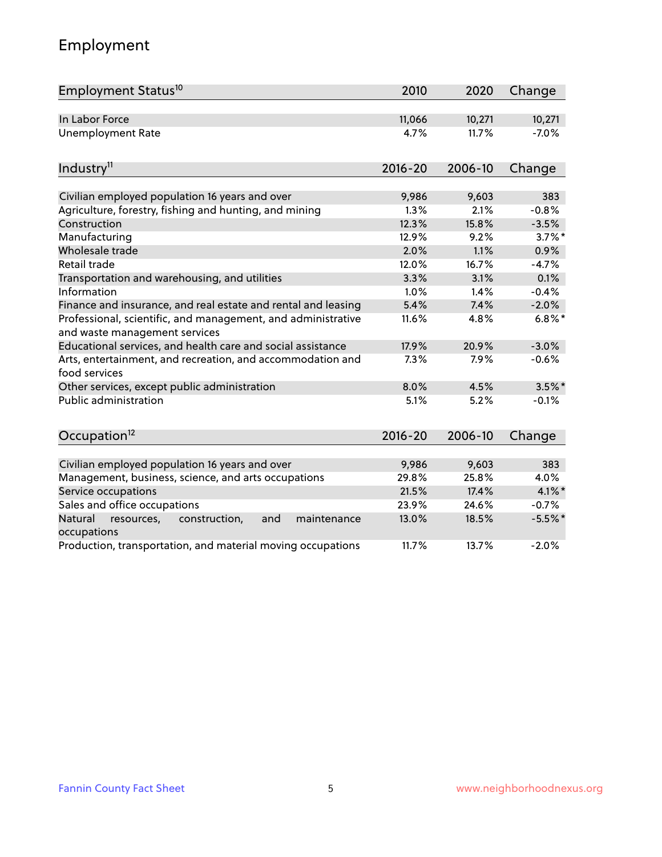## Employment

| Employment Status <sup>10</sup>                                                               | 2010        | 2020    | Change    |
|-----------------------------------------------------------------------------------------------|-------------|---------|-----------|
| In Labor Force                                                                                | 11,066      | 10,271  | 10,271    |
| <b>Unemployment Rate</b>                                                                      | 4.7%        | 11.7%   | $-7.0%$   |
| Industry <sup>11</sup>                                                                        | $2016 - 20$ | 2006-10 | Change    |
| Civilian employed population 16 years and over                                                | 9,986       | 9,603   | 383       |
| Agriculture, forestry, fishing and hunting, and mining                                        | 1.3%        | 2.1%    | $-0.8%$   |
| Construction                                                                                  | 12.3%       | 15.8%   | $-3.5%$   |
| Manufacturing                                                                                 | 12.9%       | 9.2%    | $3.7\%$ * |
| Wholesale trade                                                                               | 2.0%        | 1.1%    | 0.9%      |
| Retail trade                                                                                  | 12.0%       | 16.7%   | $-4.7%$   |
| Transportation and warehousing, and utilities                                                 | 3.3%        | 3.1%    | 0.1%      |
| Information                                                                                   | 1.0%        | 1.4%    | $-0.4%$   |
| Finance and insurance, and real estate and rental and leasing                                 | 5.4%        | 7.4%    | $-2.0%$   |
| Professional, scientific, and management, and administrative<br>and waste management services | 11.6%       | 4.8%    | $6.8\%$ * |
| Educational services, and health care and social assistance                                   | 17.9%       | 20.9%   | $-3.0%$   |
| Arts, entertainment, and recreation, and accommodation and<br>food services                   | 7.3%        | 7.9%    | $-0.6%$   |
| Other services, except public administration                                                  | 8.0%        | 4.5%    | $3.5\%$ * |
| Public administration                                                                         | 5.1%        | 5.2%    | $-0.1%$   |
| Occupation <sup>12</sup>                                                                      | $2016 - 20$ | 2006-10 | Change    |
|                                                                                               |             |         |           |
| Civilian employed population 16 years and over                                                | 9,986       | 9,603   | 383       |
| Management, business, science, and arts occupations                                           | 29.8%       | 25.8%   | 4.0%      |
| Service occupations                                                                           | 21.5%       | 17.4%   | 4.1%*     |
| Sales and office occupations                                                                  | 23.9%       | 24.6%   | $-0.7%$   |
| Natural<br>construction,<br>resources,<br>and<br>maintenance<br>occupations                   | 13.0%       | 18.5%   | $-5.5%$ * |
| Production, transportation, and material moving occupations                                   | 11.7%       | 13.7%   | $-2.0%$   |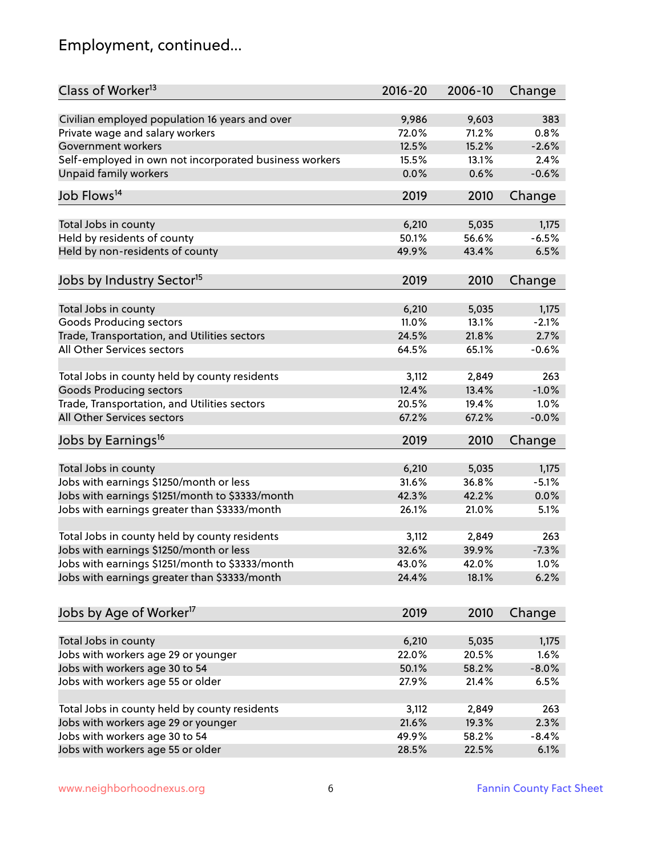## Employment, continued...

| Class of Worker <sup>13</sup>                          | $2016 - 20$ | 2006-10 | Change  |
|--------------------------------------------------------|-------------|---------|---------|
| Civilian employed population 16 years and over         | 9,986       | 9,603   | 383     |
| Private wage and salary workers                        | 72.0%       | 71.2%   | 0.8%    |
| Government workers                                     | 12.5%       | 15.2%   | $-2.6%$ |
| Self-employed in own not incorporated business workers | 15.5%       | 13.1%   | 2.4%    |
| Unpaid family workers                                  | 0.0%        | 0.6%    | $-0.6%$ |
|                                                        |             |         |         |
| Job Flows <sup>14</sup>                                | 2019        | 2010    | Change  |
| Total Jobs in county                                   | 6,210       | 5,035   | 1,175   |
| Held by residents of county                            | 50.1%       | 56.6%   | $-6.5%$ |
|                                                        |             |         |         |
| Held by non-residents of county                        | 49.9%       | 43.4%   | 6.5%    |
| Jobs by Industry Sector <sup>15</sup>                  | 2019        | 2010    | Change  |
| Total Jobs in county                                   | 6,210       | 5,035   | 1,175   |
| Goods Producing sectors                                | 11.0%       | 13.1%   | $-2.1%$ |
| Trade, Transportation, and Utilities sectors           | 24.5%       | 21.8%   | 2.7%    |
| All Other Services sectors                             | 64.5%       | 65.1%   | $-0.6%$ |
|                                                        |             |         |         |
| Total Jobs in county held by county residents          | 3,112       | 2,849   | 263     |
| <b>Goods Producing sectors</b>                         | 12.4%       | 13.4%   | $-1.0%$ |
| Trade, Transportation, and Utilities sectors           | 20.5%       | 19.4%   | 1.0%    |
| All Other Services sectors                             | 67.2%       | 67.2%   | $-0.0%$ |
| Jobs by Earnings <sup>16</sup>                         | 2019        | 2010    | Change  |
|                                                        |             |         |         |
| Total Jobs in county                                   | 6,210       | 5,035   | 1,175   |
| Jobs with earnings \$1250/month or less                | 31.6%       | 36.8%   | $-5.1%$ |
| Jobs with earnings \$1251/month to \$3333/month        | 42.3%       | 42.2%   | 0.0%    |
| Jobs with earnings greater than \$3333/month           | 26.1%       | 21.0%   | 5.1%    |
| Total Jobs in county held by county residents          | 3,112       | 2,849   | 263     |
| Jobs with earnings \$1250/month or less                | 32.6%       | 39.9%   | $-7.3%$ |
| Jobs with earnings \$1251/month to \$3333/month        | 43.0%       | 42.0%   | $1.0\%$ |
| Jobs with earnings greater than \$3333/month           | 24.4%       | 18.1%   | 6.2%    |
|                                                        |             |         |         |
| Jobs by Age of Worker <sup>17</sup>                    | 2019        | 2010    | Change  |
| Total Jobs in county                                   | 6,210       | 5,035   | 1,175   |
| Jobs with workers age 29 or younger                    | 22.0%       | 20.5%   | 1.6%    |
| Jobs with workers age 30 to 54                         | 50.1%       | 58.2%   | $-8.0%$ |
| Jobs with workers age 55 or older                      | 27.9%       | 21.4%   | 6.5%    |
|                                                        |             |         |         |
| Total Jobs in county held by county residents          | 3,112       | 2,849   | 263     |
| Jobs with workers age 29 or younger                    | 21.6%       | 19.3%   | 2.3%    |
| Jobs with workers age 30 to 54                         | 49.9%       | 58.2%   | $-8.4%$ |
| Jobs with workers age 55 or older                      | 28.5%       | 22.5%   | 6.1%    |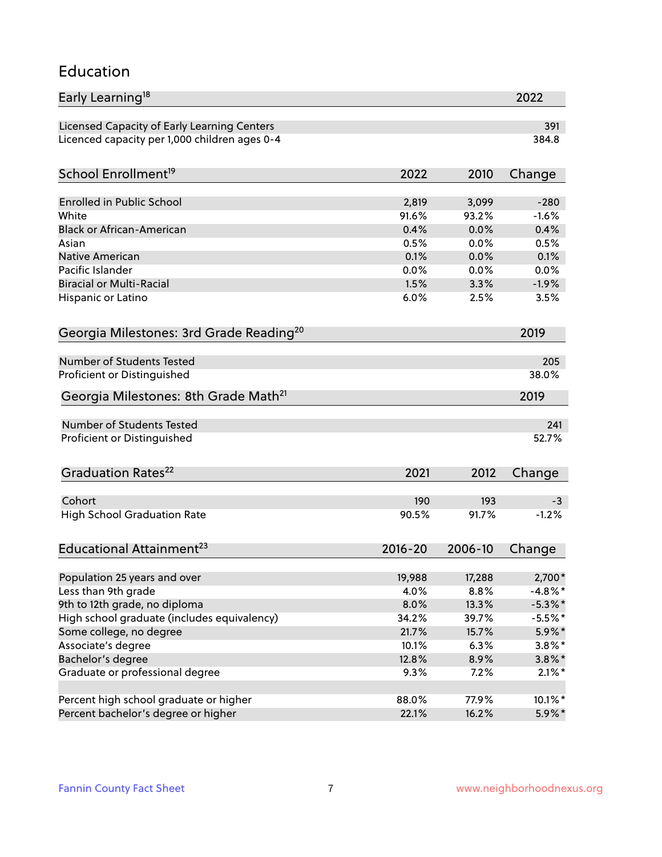### Education

| Early Learning <sup>18</sup>                        |              |         | 2022       |
|-----------------------------------------------------|--------------|---------|------------|
| Licensed Capacity of Early Learning Centers         |              |         | 391        |
| Licenced capacity per 1,000 children ages 0-4       |              |         | 384.8      |
| School Enrollment <sup>19</sup>                     | 2022         | 2010    | Change     |
|                                                     |              |         |            |
| <b>Enrolled in Public School</b>                    | 2,819        | 3,099   | $-280$     |
| White                                               | 91.6%        | 93.2%   | $-1.6%$    |
| <b>Black or African-American</b>                    | 0.4%         | 0.0%    | 0.4%       |
| Asian                                               | 0.5%         | 0.0%    | 0.5%       |
| <b>Native American</b>                              | 0.1%         | 0.0%    | 0.1%       |
| Pacific Islander                                    | 0.0%         | 0.0%    | 0.0%       |
| <b>Biracial or Multi-Racial</b>                     | 1.5%         | 3.3%    | $-1.9%$    |
| Hispanic or Latino                                  | 6.0%         | 2.5%    | 3.5%       |
| Georgia Milestones: 3rd Grade Reading <sup>20</sup> |              |         | 2019       |
|                                                     |              |         |            |
| <b>Number of Students Tested</b>                    |              |         | 205        |
| Proficient or Distinguished                         |              |         | 38.0%      |
| Georgia Milestones: 8th Grade Math <sup>21</sup>    |              |         | 2019       |
| <b>Number of Students Tested</b>                    |              |         | 241        |
| Proficient or Distinguished                         |              |         | 52.7%      |
|                                                     |              |         |            |
| Graduation Rates <sup>22</sup>                      | 2021         | 2012    | Change     |
| Cohort                                              | 190          | 193     | -3         |
| <b>High School Graduation Rate</b>                  | 90.5%        | 91.7%   | $-1.2%$    |
|                                                     |              |         |            |
| Educational Attainment <sup>23</sup>                | $2016 - 20$  | 2006-10 | Change     |
|                                                     |              |         |            |
| Population 25 years and over                        | 19,988       | 17,288  | 2,700*     |
| Less than 9th grade                                 | 4.0%<br>8.0% | 8.8%    | $-4.8\%$ * |
| 9th to 12th grade, no diploma                       |              | 13.3%   | $-5.3\%$ * |
| High school graduate (includes equivalency)         | 34.2%        | 39.7%   | $-5.5%$ *  |
| Some college, no degree                             | 21.7%        | 15.7%   | 5.9%*      |
| Associate's degree                                  | 10.1%        | 6.3%    | $3.8\%$ *  |
| Bachelor's degree                                   | 12.8%        | 8.9%    | $3.8\%$ *  |
| Graduate or professional degree                     | 9.3%         | 7.2%    | $2.1\%$ *  |
| Percent high school graduate or higher              | 88.0%        | 77.9%   | $10.1\%$ * |
| Percent bachelor's degree or higher                 | 22.1%        | 16.2%   | 5.9%*      |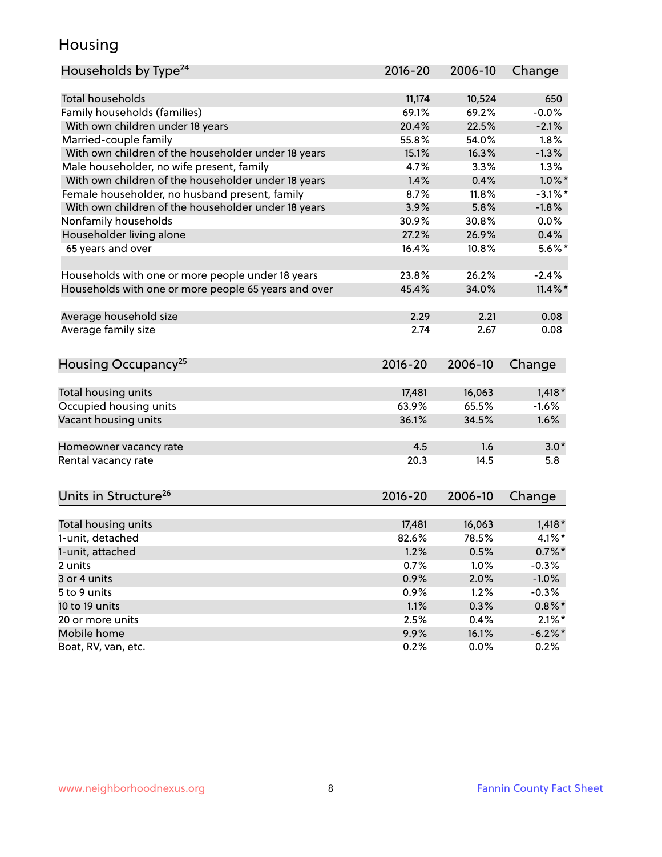## Housing

| Households by Type <sup>24</sup>                     | $2016 - 20$ | 2006-10 | Change     |
|------------------------------------------------------|-------------|---------|------------|
|                                                      |             |         |            |
| <b>Total households</b>                              | 11,174      | 10,524  | 650        |
| Family households (families)                         | 69.1%       | 69.2%   | $-0.0%$    |
| With own children under 18 years                     | 20.4%       | 22.5%   | $-2.1%$    |
| Married-couple family                                | 55.8%       | 54.0%   | 1.8%       |
| With own children of the householder under 18 years  | 15.1%       | 16.3%   | $-1.3%$    |
| Male householder, no wife present, family            | 4.7%        | 3.3%    | 1.3%       |
| With own children of the householder under 18 years  | 1.4%        | 0.4%    | $1.0\%$ *  |
| Female householder, no husband present, family       | 8.7%        | 11.8%   | $-3.1\%$ * |
| With own children of the householder under 18 years  | 3.9%        | 5.8%    | $-1.8%$    |
| Nonfamily households                                 | 30.9%       | 30.8%   | $0.0\%$    |
| Householder living alone                             | 27.2%       | 26.9%   | 0.4%       |
| 65 years and over                                    | 16.4%       | 10.8%   | $5.6\%$ *  |
|                                                      |             |         |            |
| Households with one or more people under 18 years    | 23.8%       | 26.2%   | $-2.4%$    |
| Households with one or more people 65 years and over | 45.4%       | 34.0%   | $11.4\%$ * |
|                                                      |             |         |            |
| Average household size                               | 2.29        | 2.21    | 0.08       |
| Average family size                                  | 2.74        | 2.67    | 0.08       |
|                                                      |             |         |            |
| Housing Occupancy <sup>25</sup>                      | $2016 - 20$ | 2006-10 | Change     |
|                                                      |             |         |            |
| Total housing units                                  | 17,481      | 16,063  | $1,418*$   |
| Occupied housing units                               | 63.9%       | 65.5%   | $-1.6%$    |
| Vacant housing units                                 | 36.1%       | 34.5%   | 1.6%       |
|                                                      |             |         |            |
| Homeowner vacancy rate                               | 4.5         | 1.6     | $3.0*$     |
| Rental vacancy rate                                  | 20.3        | 14.5    | 5.8        |
|                                                      |             |         |            |
|                                                      |             |         |            |
| Units in Structure <sup>26</sup>                     | $2016 - 20$ | 2006-10 | Change     |
| Total housing units                                  | 17,481      | 16,063  | $1,418*$   |
| 1-unit, detached                                     | 82.6%       | 78.5%   | $4.1\%$ *  |
| 1-unit, attached                                     | 1.2%        | 0.5%    | $0.7\%$ *  |
| 2 units                                              | 0.7%        | 1.0%    | $-0.3%$    |
| 3 or 4 units                                         |             | 2.0%    |            |
|                                                      | 0.9%        |         | $-1.0%$    |
| 5 to 9 units                                         | 0.9%        | 1.2%    | $-0.3%$    |
| 10 to 19 units                                       | 1.1%        | 0.3%    | $0.8\%$ *  |
| 20 or more units                                     | 2.5%        | 0.4%    | $2.1\%$ *  |
| Mobile home                                          | 9.9%        | 16.1%   | $-6.2\%$ * |
| Boat, RV, van, etc.                                  | 0.2%        | 0.0%    | 0.2%       |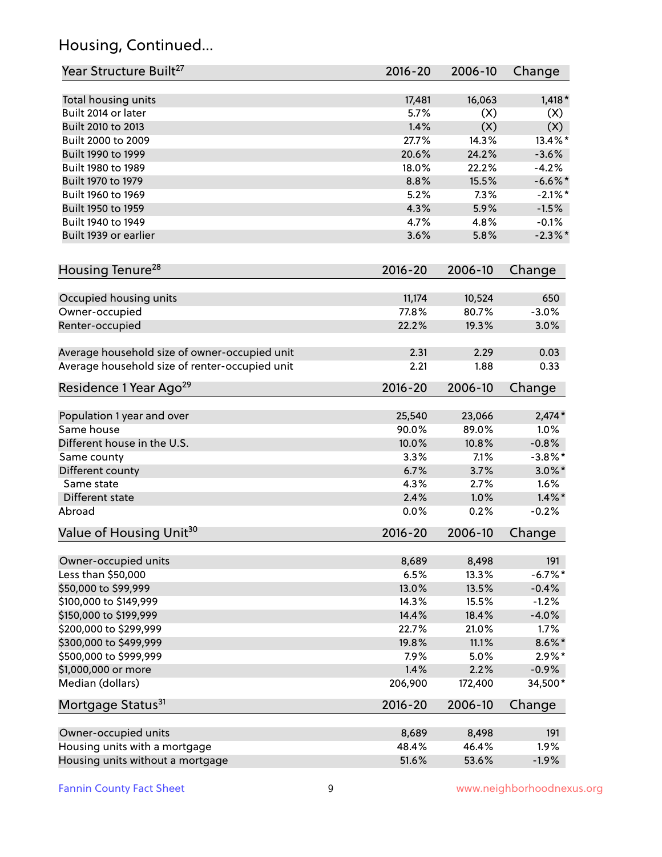## Housing, Continued...

| Year Structure Built <sup>27</sup>             | 2016-20     | 2006-10 | Change     |
|------------------------------------------------|-------------|---------|------------|
| Total housing units                            | 17,481      | 16,063  | $1,418*$   |
| Built 2014 or later                            | 5.7%        | (X)     | (X)        |
| Built 2010 to 2013                             | 1.4%        | (X)     | (X)        |
| Built 2000 to 2009                             | 27.7%       | 14.3%   | 13.4%*     |
| Built 1990 to 1999                             | 20.6%       | 24.2%   | $-3.6%$    |
| Built 1980 to 1989                             | 18.0%       | 22.2%   | $-4.2%$    |
| Built 1970 to 1979                             | 8.8%        | 15.5%   | $-6.6\%$ * |
| Built 1960 to 1969                             | 5.2%        | 7.3%    | $-2.1\%$ * |
| Built 1950 to 1959                             | 4.3%        | 5.9%    | $-1.5%$    |
| Built 1940 to 1949                             | 4.7%        | 4.8%    | $-0.1%$    |
| Built 1939 or earlier                          | 3.6%        | 5.8%    | $-2.3\%$ * |
| Housing Tenure <sup>28</sup>                   | $2016 - 20$ | 2006-10 | Change     |
|                                                |             |         |            |
| Occupied housing units                         | 11,174      | 10,524  | 650        |
| Owner-occupied                                 | 77.8%       | 80.7%   | $-3.0%$    |
| Renter-occupied                                | 22.2%       | 19.3%   | 3.0%       |
| Average household size of owner-occupied unit  | 2.31        | 2.29    | 0.03       |
| Average household size of renter-occupied unit | 2.21        | 1.88    | 0.33       |
| Residence 1 Year Ago <sup>29</sup>             | 2016-20     | 2006-10 | Change     |
| Population 1 year and over                     | 25,540      | 23,066  | $2,474*$   |
| Same house                                     | 90.0%       | 89.0%   | 1.0%       |
| Different house in the U.S.                    | 10.0%       | 10.8%   | $-0.8%$    |
| Same county                                    | 3.3%        | 7.1%    | $-3.8\%$ * |
| Different county                               | 6.7%        | 3.7%    | $3.0\%$ *  |
| Same state                                     | 4.3%        | 2.7%    | 1.6%       |
| Different state                                | 2.4%        | 1.0%    | $1.4\%$ *  |
| Abroad                                         | 0.0%        | 0.2%    | $-0.2%$    |
| Value of Housing Unit <sup>30</sup>            | $2016 - 20$ | 2006-10 | Change     |
|                                                |             |         |            |
| Owner-occupied units                           | 8,689       | 8,498   | 191        |
| Less than \$50,000                             | 6.5%        | 13.3%   | $-6.7%$ *  |
| \$50,000 to \$99,999                           | 13.0%       | 13.5%   | $-0.4%$    |
| \$100,000 to \$149,999                         | 14.3%       | 15.5%   | $-1.2%$    |
| \$150,000 to \$199,999                         | 14.4%       | 18.4%   | $-4.0%$    |
| \$200,000 to \$299,999                         | 22.7%       | 21.0%   | 1.7%       |
| \$300,000 to \$499,999                         | 19.8%       | 11.1%   | 8.6%*      |
| \$500,000 to \$999,999                         | 7.9%        | 5.0%    | $2.9\%*$   |
| \$1,000,000 or more                            | 1.4%        | 2.2%    | $-0.9%$    |
| Median (dollars)                               | 206,900     | 172,400 | 34,500*    |
| Mortgage Status <sup>31</sup>                  | $2016 - 20$ | 2006-10 | Change     |
| Owner-occupied units                           | 8,689       | 8,498   | 191        |
| Housing units with a mortgage                  | 48.4%       | 46.4%   | 1.9%       |
| Housing units without a mortgage               | 51.6%       | 53.6%   | $-1.9%$    |
|                                                |             |         |            |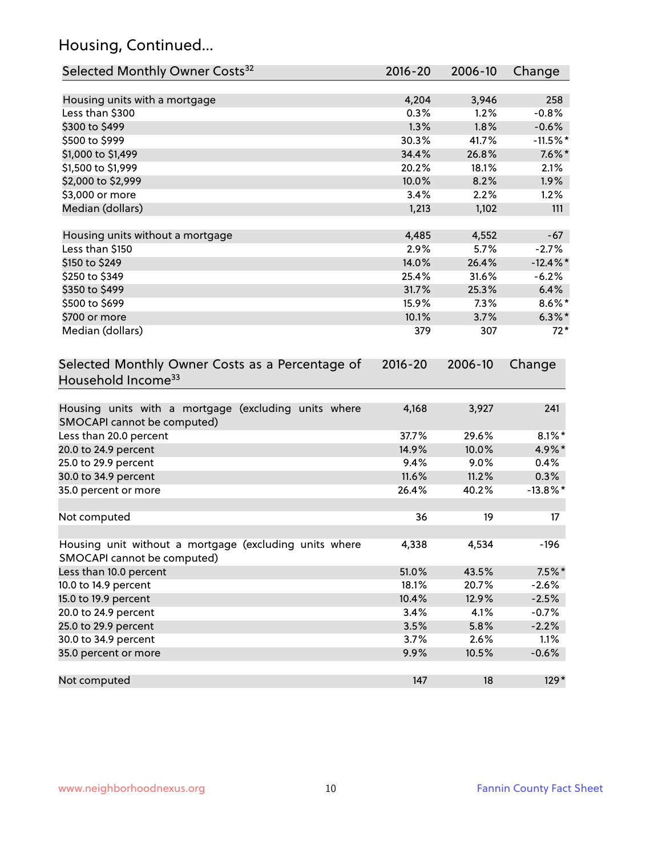## Housing, Continued...

| Selected Monthly Owner Costs <sup>32</sup>                                            | $2016 - 20$ | 2006-10 | Change      |
|---------------------------------------------------------------------------------------|-------------|---------|-------------|
| Housing units with a mortgage                                                         | 4,204       | 3,946   | 258         |
| Less than \$300                                                                       | 0.3%        | 1.2%    | $-0.8%$     |
| \$300 to \$499                                                                        | 1.3%        | 1.8%    | $-0.6%$     |
| \$500 to \$999                                                                        | 30.3%       | 41.7%   | $-11.5%$ *  |
| \$1,000 to \$1,499                                                                    | 34.4%       | 26.8%   | $7.6\%$ *   |
| \$1,500 to \$1,999                                                                    | 20.2%       | 18.1%   | 2.1%        |
| \$2,000 to \$2,999                                                                    | 10.0%       | 8.2%    | 1.9%        |
| \$3,000 or more                                                                       | 3.4%        | 2.2%    | 1.2%        |
| Median (dollars)                                                                      | 1,213       | 1,102   | 111         |
| Housing units without a mortgage                                                      | 4,485       | 4,552   | $-67$       |
| Less than \$150                                                                       | 2.9%        | 5.7%    | $-2.7%$     |
| \$150 to \$249                                                                        | 14.0%       | 26.4%   | $-12.4\%$ * |
| \$250 to \$349                                                                        | 25.4%       | 31.6%   | $-6.2%$     |
| \$350 to \$499                                                                        | 31.7%       | 25.3%   | 6.4%        |
| \$500 to \$699                                                                        | 15.9%       | 7.3%    | $8.6\%$ *   |
| \$700 or more                                                                         | 10.1%       | 3.7%    | $6.3\%$ *   |
| Median (dollars)                                                                      | 379         | 307     | $72*$       |
| Selected Monthly Owner Costs as a Percentage of<br>Household Income <sup>33</sup>     | $2016 - 20$ | 2006-10 | Change      |
| Housing units with a mortgage (excluding units where<br>SMOCAPI cannot be computed)   | 4,168       | 3,927   | 241         |
| Less than 20.0 percent                                                                | 37.7%       | 29.6%   | $8.1\%$ *   |
| 20.0 to 24.9 percent                                                                  | 14.9%       | 10.0%   | 4.9%*       |
| 25.0 to 29.9 percent                                                                  | 9.4%        | 9.0%    | 0.4%        |
| 30.0 to 34.9 percent                                                                  | 11.6%       | 11.2%   | 0.3%        |
| 35.0 percent or more                                                                  | 26.4%       | 40.2%   | $-13.8\%$ * |
| Not computed                                                                          | 36          | 19      | 17          |
| Housing unit without a mortgage (excluding units where<br>SMOCAPI cannot be computed) | 4,338       | 4,534   | $-196$      |
| Less than 10.0 percent                                                                | 51.0%       | 43.5%   | $7.5\%$ *   |
| 10.0 to 14.9 percent                                                                  | 18.1%       | 20.7%   | $-2.6%$     |
| 15.0 to 19.9 percent                                                                  | 10.4%       | 12.9%   | $-2.5%$     |
| 20.0 to 24.9 percent                                                                  | 3.4%        | 4.1%    | $-0.7%$     |
| 25.0 to 29.9 percent                                                                  | 3.5%        | 5.8%    | $-2.2%$     |
| 30.0 to 34.9 percent                                                                  | 3.7%        | 2.6%    | 1.1%        |
| 35.0 percent or more                                                                  | 9.9%        | 10.5%   | $-0.6%$     |
| Not computed                                                                          | 147         | 18      | $129*$      |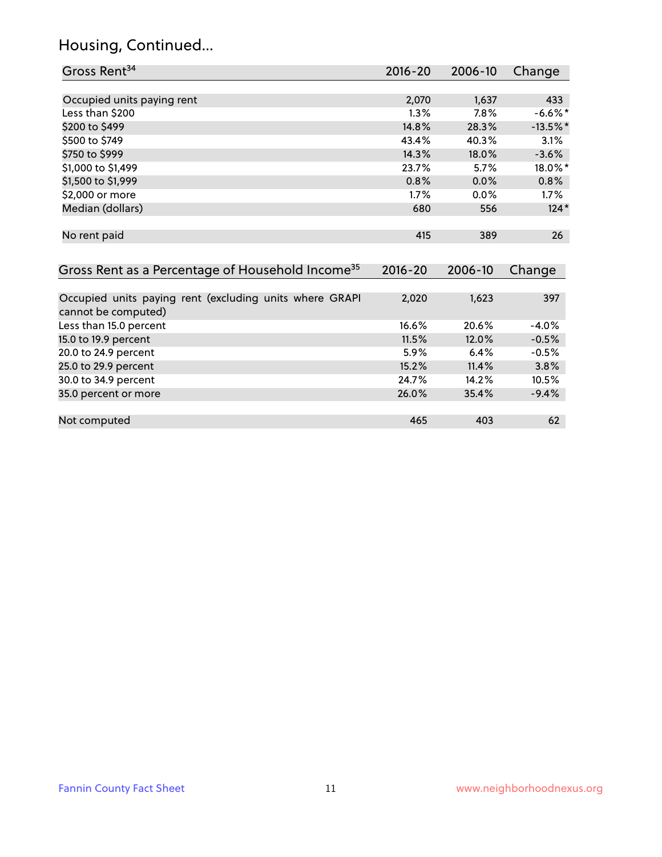## Housing, Continued...

| Gross Rent <sup>34</sup>                                                       | 2016-20     | 2006-10 | Change     |
|--------------------------------------------------------------------------------|-------------|---------|------------|
|                                                                                |             |         |            |
| Occupied units paying rent                                                     | 2,070       | 1,637   | 433        |
| Less than \$200                                                                | 1.3%        | 7.8%    | $-6.6\%$ * |
| \$200 to \$499                                                                 | 14.8%       | 28.3%   | $-13.5%$ * |
| \$500 to \$749                                                                 | 43.4%       | 40.3%   | 3.1%       |
| \$750 to \$999                                                                 | 14.3%       | 18.0%   | $-3.6%$    |
| \$1,000 to \$1,499                                                             | 23.7%       | 5.7%    | 18.0%*     |
| \$1,500 to \$1,999                                                             | 0.8%        | 0.0%    | 0.8%       |
| \$2,000 or more                                                                | 1.7%        | 0.0%    | $1.7\%$    |
| Median (dollars)                                                               | 680         | 556     | $124*$     |
|                                                                                |             |         |            |
| No rent paid                                                                   | 415         | 389     | 26         |
|                                                                                |             |         |            |
| Gross Rent as a Percentage of Household Income <sup>35</sup>                   | $2016 - 20$ | 2006-10 | Change     |
|                                                                                |             |         |            |
| Occupied units paying rent (excluding units where GRAPI<br>cannot be computed) | 2,020       | 1,623   | 397        |
| Less than 15.0 percent                                                         | 16.6%       | 20.6%   | $-4.0%$    |
| 15.0 to 19.9 percent                                                           | 11.5%       | 12.0%   | $-0.5%$    |
| 20.0 to 24.9 percent                                                           | 5.9%        | 6.4%    | $-0.5%$    |
| 25.0 to 29.9 percent                                                           | 15.2%       | 11.4%   | 3.8%       |
| 30.0 to 34.9 percent                                                           | 24.7%       | 14.2%   | 10.5%      |
| 35.0 percent or more                                                           | 26.0%       | 35.4%   | $-9.4%$    |

| Not computed | 465 | 403 | O۵ |
|--------------|-----|-----|----|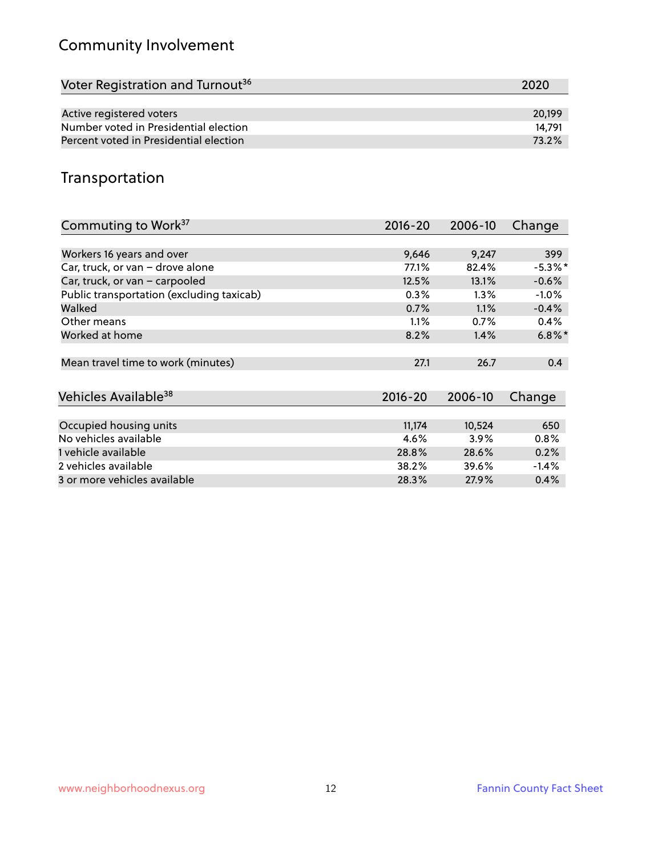## Community Involvement

| Voter Registration and Turnout <sup>36</sup> | 2020   |
|----------------------------------------------|--------|
|                                              |        |
| Active registered voters                     | 20.199 |
| Number voted in Presidential election        | 14.791 |
| Percent voted in Presidential election       | 73.2%  |

## Transportation

| Commuting to Work <sup>37</sup>           | 2016-20     | 2006-10 | Change     |
|-------------------------------------------|-------------|---------|------------|
|                                           |             |         |            |
| Workers 16 years and over                 | 9,646       | 9,247   | 399        |
| Car, truck, or van - drove alone          | 77.1%       | 82.4%   | $-5.3\%$ * |
| Car, truck, or van - carpooled            | 12.5%       | 13.1%   | $-0.6%$    |
| Public transportation (excluding taxicab) | 0.3%        | $1.3\%$ | $-1.0\%$   |
| Walked                                    | 0.7%        | $1.1\%$ | $-0.4%$    |
| Other means                               | 1.1%        | 0.7%    | 0.4%       |
| Worked at home                            | 8.2%        | 1.4%    | $6.8\%$ *  |
| Mean travel time to work (minutes)        | 27.1        | 26.7    | 0.4        |
|                                           |             |         |            |
| Vehicles Available <sup>38</sup>          | $2016 - 20$ | 2006-10 | Change     |
| Occupied housing units                    | 11,174      | 10,524  | 650        |
| No vehicles available                     | 4.6%        | $3.9\%$ | 0.8%       |
| 1 vehicle available                       | 28.8%       | 28.6%   | 0.2%       |
| 2 vehicles available                      | 38.2%       | 39.6%   | $-1.4%$    |
| 3 or more vehicles available              | 28.3%       | 27.9%   | 0.4%       |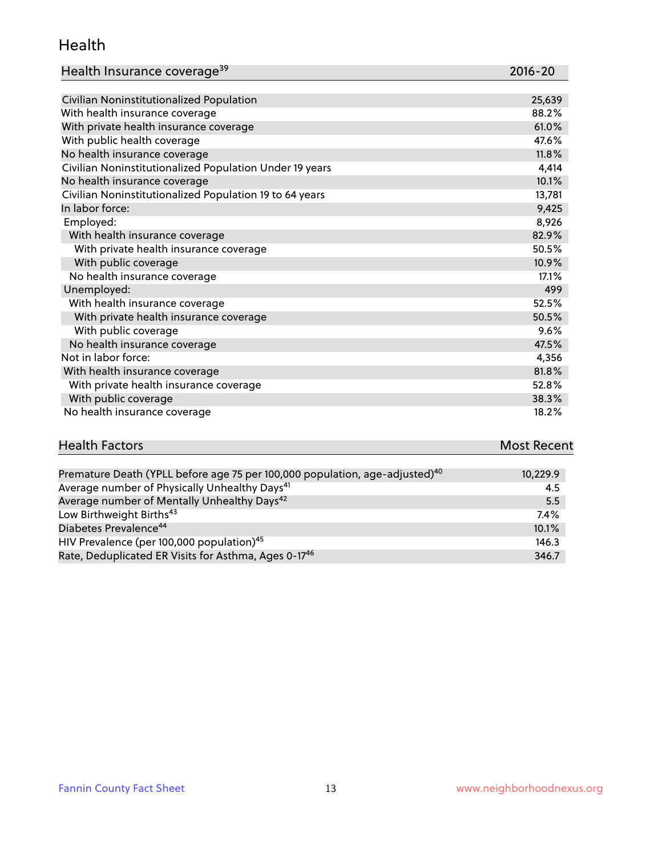#### Health

| Health Insurance coverage <sup>39</sup> | 2016-20 |
|-----------------------------------------|---------|
|-----------------------------------------|---------|

| Civilian Noninstitutionalized Population                | 25,639 |
|---------------------------------------------------------|--------|
| With health insurance coverage                          | 88.2%  |
| With private health insurance coverage                  | 61.0%  |
| With public health coverage                             | 47.6%  |
| No health insurance coverage                            | 11.8%  |
| Civilian Noninstitutionalized Population Under 19 years | 4,414  |
| No health insurance coverage                            | 10.1%  |
| Civilian Noninstitutionalized Population 19 to 64 years | 13,781 |
| In labor force:                                         | 9,425  |
| Employed:                                               | 8,926  |
| With health insurance coverage                          | 82.9%  |
| With private health insurance coverage                  | 50.5%  |
| With public coverage                                    | 10.9%  |
| No health insurance coverage                            | 17.1%  |
| Unemployed:                                             | 499    |
| With health insurance coverage                          | 52.5%  |
| With private health insurance coverage                  | 50.5%  |
| With public coverage                                    | 9.6%   |
| No health insurance coverage                            | 47.5%  |
| Not in labor force:                                     | 4,356  |
| With health insurance coverage                          | 81.8%  |
| With private health insurance coverage                  | 52.8%  |
| With public coverage                                    | 38.3%  |
| No health insurance coverage                            | 18.2%  |

# **Health Factors Most Recent** And The Control of the Control of The Control of The Control of The Control of The Control of The Control of The Control of The Control of The Control of The Control of The Control of The Contr

| Premature Death (YPLL before age 75 per 100,000 population, age-adjusted) <sup>40</sup> | 10,229.9 |
|-----------------------------------------------------------------------------------------|----------|
| Average number of Physically Unhealthy Days <sup>41</sup>                               | 4.5      |
| Average number of Mentally Unhealthy Days <sup>42</sup>                                 | 5.5      |
| Low Birthweight Births <sup>43</sup>                                                    | $7.4\%$  |
| Diabetes Prevalence <sup>44</sup>                                                       | 10.1%    |
| HIV Prevalence (per 100,000 population) <sup>45</sup>                                   | 146.3    |
| Rate, Deduplicated ER Visits for Asthma, Ages 0-17 <sup>46</sup>                        | 346.7    |